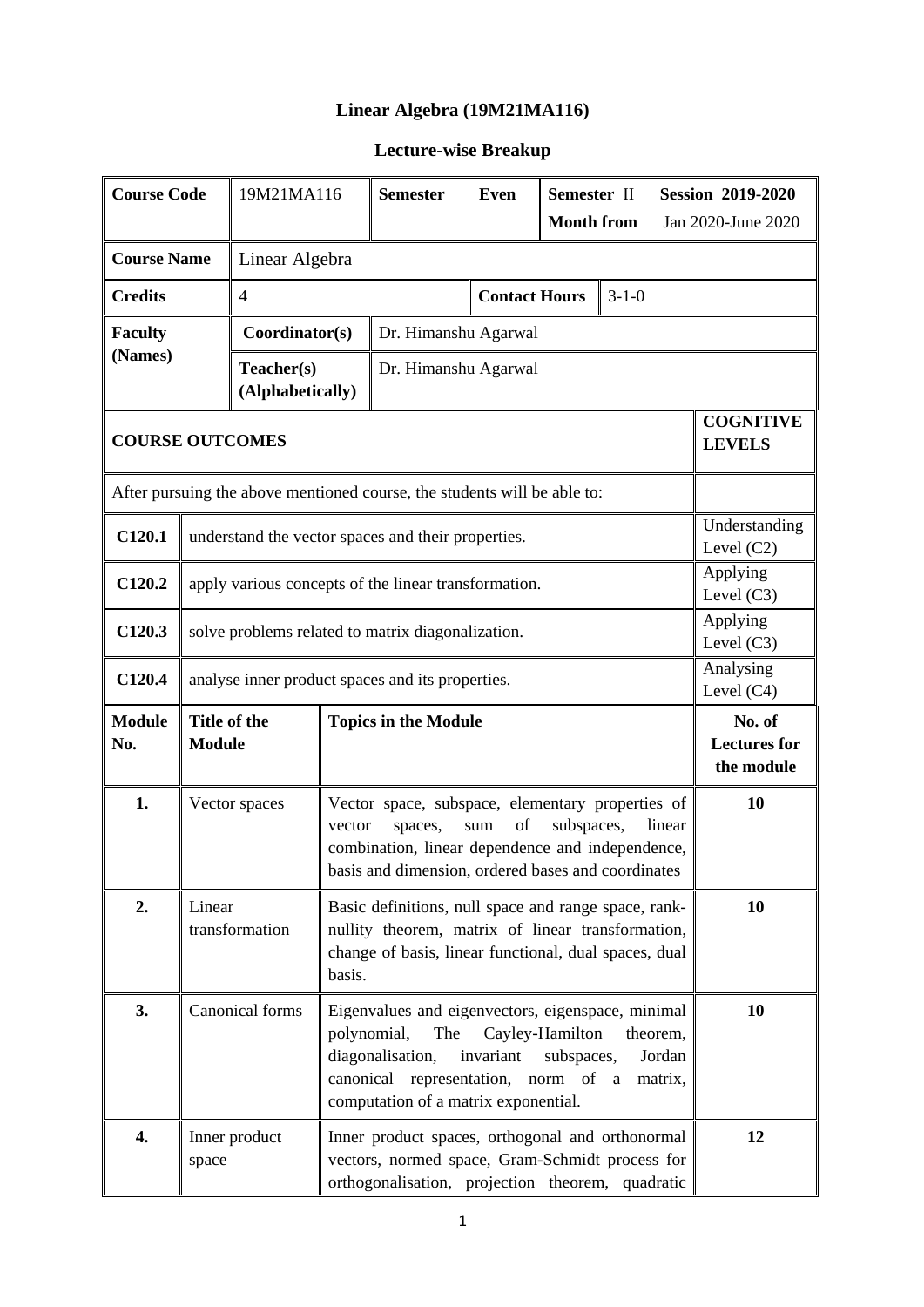## **Linear Algebra (19M21MA116)**

| <b>Course Code</b>     |                                                                                                                                                                                                                                                                                   | 19M21MA116                     |        | <b>Semester</b>                                                                                                                                                                                            | <b>Even</b>          | Semester II<br><b>Session 2019-2020</b> |             |  |                                             |
|------------------------|-----------------------------------------------------------------------------------------------------------------------------------------------------------------------------------------------------------------------------------------------------------------------------------|--------------------------------|--------|------------------------------------------------------------------------------------------------------------------------------------------------------------------------------------------------------------|----------------------|-----------------------------------------|-------------|--|---------------------------------------------|
|                        |                                                                                                                                                                                                                                                                                   |                                |        |                                                                                                                                                                                                            |                      | <b>Month from</b>                       |             |  | Jan 2020-June 2020                          |
| <b>Course Name</b>     |                                                                                                                                                                                                                                                                                   | Linear Algebra                 |        |                                                                                                                                                                                                            |                      |                                         |             |  |                                             |
| <b>Credits</b>         |                                                                                                                                                                                                                                                                                   | $\overline{4}$                 |        |                                                                                                                                                                                                            | <b>Contact Hours</b> |                                         | $3 - 1 - 0$ |  |                                             |
| <b>Faculty</b>         |                                                                                                                                                                                                                                                                                   | Coordinator(s)                 |        | Dr. Himanshu Agarwal                                                                                                                                                                                       |                      |                                         |             |  |                                             |
| (Names)                |                                                                                                                                                                                                                                                                                   | Teacher(s)<br>(Alphabetically) |        | Dr. Himanshu Agarwal                                                                                                                                                                                       |                      |                                         |             |  |                                             |
| <b>COURSE OUTCOMES</b> |                                                                                                                                                                                                                                                                                   |                                |        |                                                                                                                                                                                                            |                      |                                         |             |  | <b>COGNITIVE</b><br><b>LEVELS</b>           |
|                        |                                                                                                                                                                                                                                                                                   |                                |        | After pursuing the above mentioned course, the students will be able to:                                                                                                                                   |                      |                                         |             |  |                                             |
| C120.1                 |                                                                                                                                                                                                                                                                                   |                                |        | understand the vector spaces and their properties.                                                                                                                                                         |                      |                                         |             |  | Understanding<br>Level $(C2)$               |
| C120.2                 |                                                                                                                                                                                                                                                                                   |                                |        | apply various concepts of the linear transformation.                                                                                                                                                       |                      |                                         |             |  | Applying<br>Level $(C3)$                    |
| C120.3                 |                                                                                                                                                                                                                                                                                   |                                |        | solve problems related to matrix diagonalization.                                                                                                                                                          |                      |                                         |             |  | Applying<br>Level $(C3)$                    |
| C120.4                 |                                                                                                                                                                                                                                                                                   |                                |        | analyse inner product spaces and its properties.                                                                                                                                                           |                      |                                         |             |  | Analysing<br>Level $(C4)$                   |
| <b>Module</b><br>No.   | Title of the<br><b>Module</b>                                                                                                                                                                                                                                                     |                                |        | <b>Topics in the Module</b>                                                                                                                                                                                |                      |                                         |             |  | No. of<br><b>Lectures</b> for<br>the module |
| 1.                     |                                                                                                                                                                                                                                                                                   | Vector spaces                  | vector | Vector space, subspace, elementary properties of<br>of<br>subspaces,<br>linear<br>spaces,<br>sum<br>combination, linear dependence and independence,<br>basis and dimension, ordered bases and coordinates |                      |                                         |             |  | 10                                          |
| 2.                     | Linear<br>Basic definitions, null space and range space, rank-<br>transformation<br>nullity theorem, matrix of linear transformation,<br>change of basis, linear functional, dual spaces, dual<br>basis.                                                                          |                                |        |                                                                                                                                                                                                            | 10                   |                                         |             |  |                                             |
| 3.                     | Canonical forms<br>Eigenvalues and eigenvectors, eigenspace, minimal<br>polynomial,<br>The<br>Cayley-Hamilton<br>theorem,<br>diagonalisation,<br>invariant<br>subspaces,<br>Jordan<br>canonical representation, norm of<br>matrix,<br>a a<br>computation of a matrix exponential. |                                |        |                                                                                                                                                                                                            | 10                   |                                         |             |  |                                             |
| 4.                     | space                                                                                                                                                                                                                                                                             | Inner product                  |        | Inner product spaces, orthogonal and orthonormal<br>vectors, normed space, Gram-Schmidt process for<br>orthogonalisation, projection theorem, quadratic                                                    |                      |                                         |             |  | 12                                          |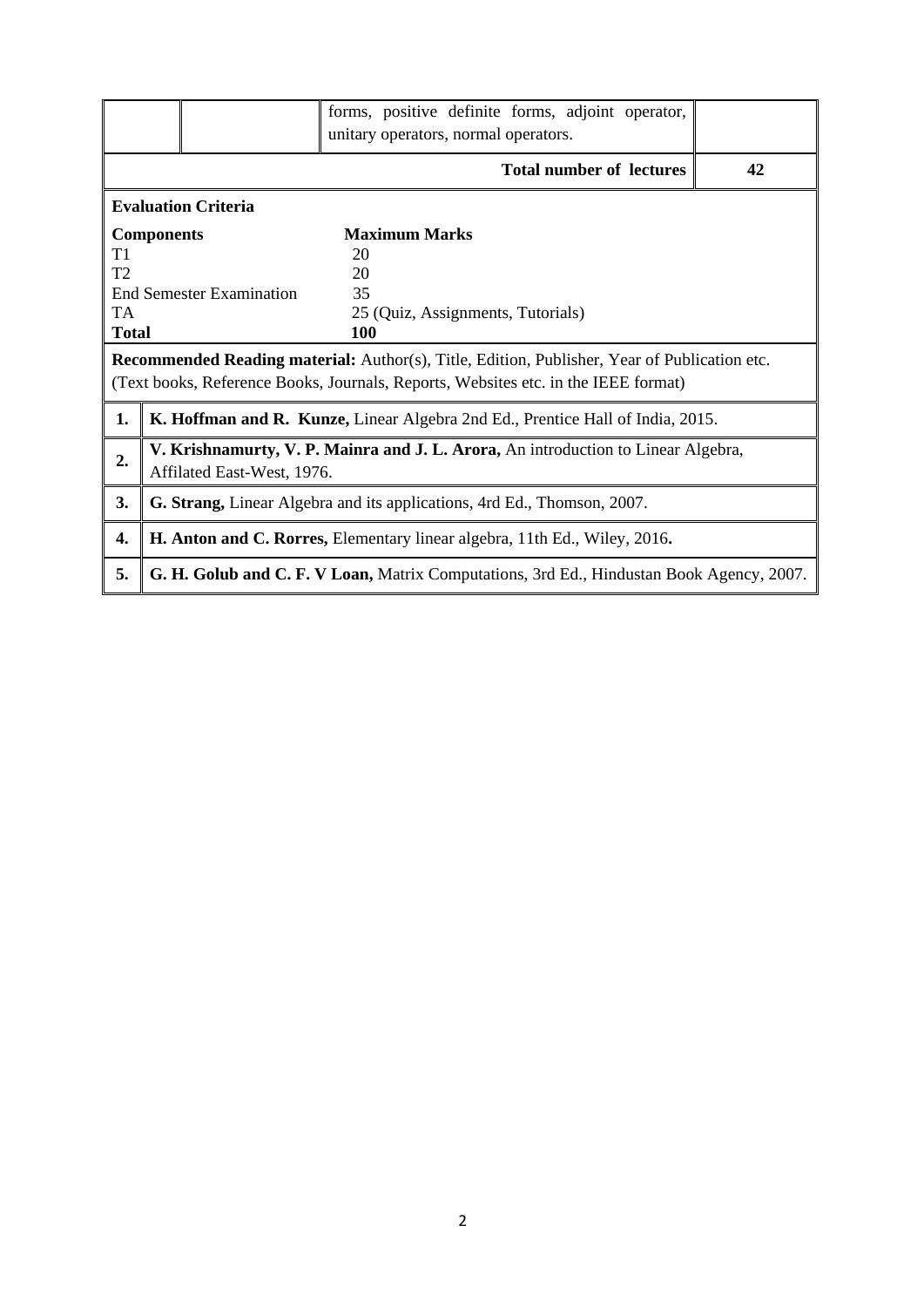|              |                                                                                                                                                                                    |                                 | forms, positive definite forms, adjoint operator,                                        |    |  |  |  |
|--------------|------------------------------------------------------------------------------------------------------------------------------------------------------------------------------------|---------------------------------|------------------------------------------------------------------------------------------|----|--|--|--|
|              |                                                                                                                                                                                    |                                 | unitary operators, normal operators.                                                     |    |  |  |  |
|              |                                                                                                                                                                                    |                                 | <b>Total number of lectures</b>                                                          | 42 |  |  |  |
|              |                                                                                                                                                                                    | <b>Evaluation Criteria</b>      |                                                                                          |    |  |  |  |
|              | <b>Components</b>                                                                                                                                                                  |                                 | <b>Maximum Marks</b>                                                                     |    |  |  |  |
| T1           |                                                                                                                                                                                    |                                 | 20                                                                                       |    |  |  |  |
| T2           |                                                                                                                                                                                    |                                 | 20                                                                                       |    |  |  |  |
|              |                                                                                                                                                                                    | <b>End Semester Examination</b> | 35                                                                                       |    |  |  |  |
| TA           |                                                                                                                                                                                    |                                 | 25 (Quiz, Assignments, Tutorials)                                                        |    |  |  |  |
| <b>Total</b> |                                                                                                                                                                                    |                                 | <b>100</b>                                                                               |    |  |  |  |
|              | Recommended Reading material: Author(s), Title, Edition, Publisher, Year of Publication etc.<br>(Text books, Reference Books, Journals, Reports, Websites etc. in the IEEE format) |                                 |                                                                                          |    |  |  |  |
| 1.           | K. Hoffman and R. Kunze, Linear Algebra 2nd Ed., Prentice Hall of India, 2015.                                                                                                     |                                 |                                                                                          |    |  |  |  |
| 2.           | V. Krishnamurty, V. P. Mainra and J. L. Arora, An introduction to Linear Algebra,<br>Affilated East-West, 1976.                                                                    |                                 |                                                                                          |    |  |  |  |
| 3.           | G. Strang, Linear Algebra and its applications, 4rd Ed., Thomson, 2007.                                                                                                            |                                 |                                                                                          |    |  |  |  |
| 4.           | H. Anton and C. Rorres, Elementary linear algebra, 11th Ed., Wiley, 2016.                                                                                                          |                                 |                                                                                          |    |  |  |  |
| 5.           |                                                                                                                                                                                    |                                 | G. H. Golub and C. F. V Loan, Matrix Computations, 3rd Ed., Hindustan Book Agency, 2007. |    |  |  |  |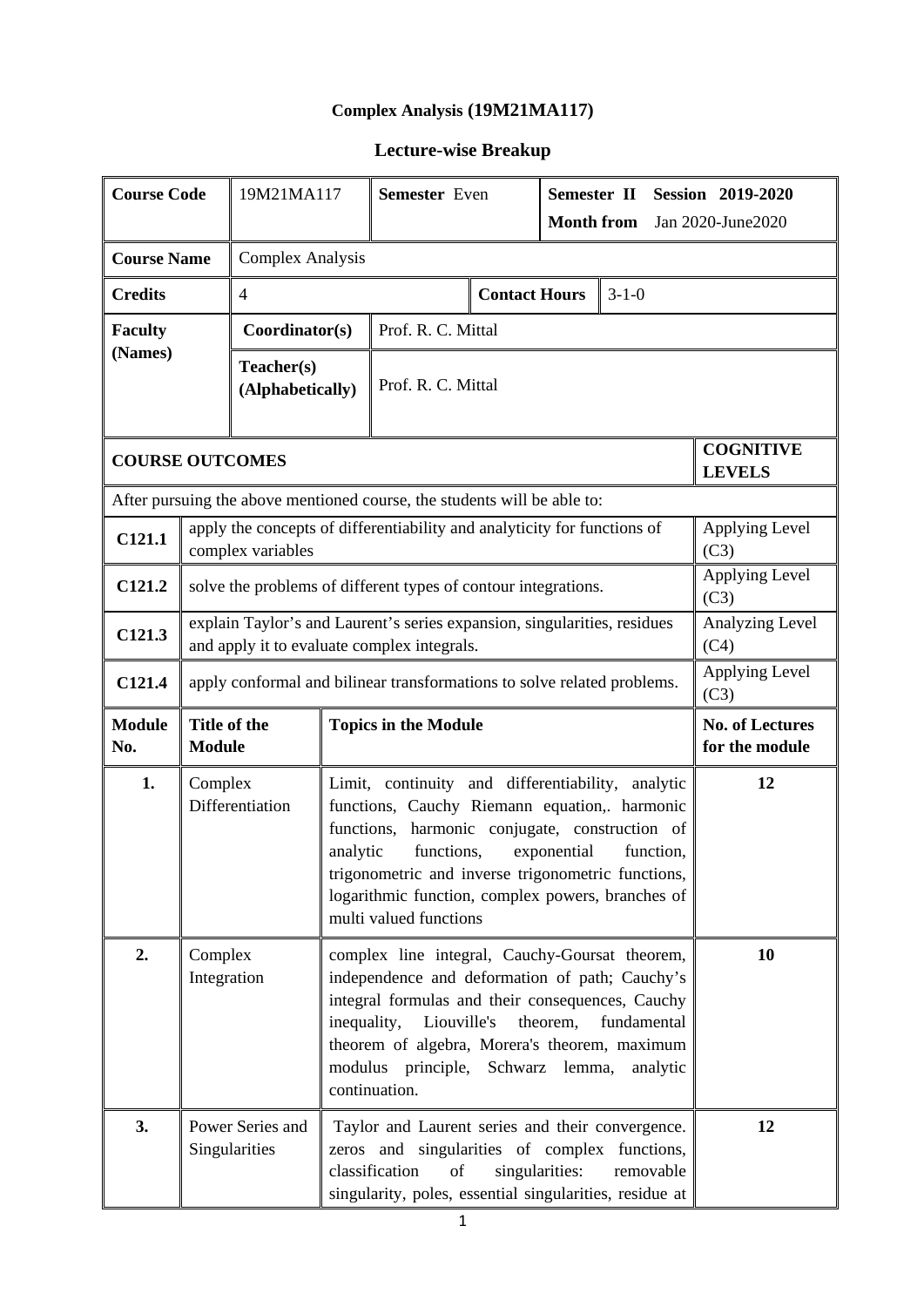## **Complex Analysis (19M21MA117)**

| <b>Course Code</b>        |                               | 19M21MA117                                                                                                                                         |                                                                                                                                                                                                                                                                                                                                  | Semester Even                                                                                                                                                                                                                                                                                                                                   |                      | Semester II<br><b>Month from</b> |             |                                          | <b>Session 2019-2020</b><br>Jan 2020-June2020 |
|---------------------------|-------------------------------|----------------------------------------------------------------------------------------------------------------------------------------------------|----------------------------------------------------------------------------------------------------------------------------------------------------------------------------------------------------------------------------------------------------------------------------------------------------------------------------------|-------------------------------------------------------------------------------------------------------------------------------------------------------------------------------------------------------------------------------------------------------------------------------------------------------------------------------------------------|----------------------|----------------------------------|-------------|------------------------------------------|-----------------------------------------------|
| <b>Course Name</b>        |                               | <b>Complex Analysis</b>                                                                                                                            |                                                                                                                                                                                                                                                                                                                                  |                                                                                                                                                                                                                                                                                                                                                 |                      |                                  |             |                                          |                                               |
| <b>Credits</b>            |                               | $\overline{4}$                                                                                                                                     |                                                                                                                                                                                                                                                                                                                                  |                                                                                                                                                                                                                                                                                                                                                 | <b>Contact Hours</b> |                                  | $3 - 1 - 0$ |                                          |                                               |
|                           |                               |                                                                                                                                                    |                                                                                                                                                                                                                                                                                                                                  |                                                                                                                                                                                                                                                                                                                                                 |                      |                                  |             |                                          |                                               |
| <b>Faculty</b><br>(Names) |                               | Coordinator(s)                                                                                                                                     |                                                                                                                                                                                                                                                                                                                                  | Prof. R. C. Mittal                                                                                                                                                                                                                                                                                                                              |                      |                                  |             |                                          |                                               |
|                           |                               | Teacher(s)<br>(Alphabetically)                                                                                                                     | Prof. R. C. Mittal                                                                                                                                                                                                                                                                                                               |                                                                                                                                                                                                                                                                                                                                                 |                      |                                  |             |                                          |                                               |
| <b>COURSE OUTCOMES</b>    |                               |                                                                                                                                                    |                                                                                                                                                                                                                                                                                                                                  |                                                                                                                                                                                                                                                                                                                                                 |                      |                                  |             |                                          | <b>COGNITIVE</b><br><b>LEVELS</b>             |
|                           |                               |                                                                                                                                                    |                                                                                                                                                                                                                                                                                                                                  | After pursuing the above mentioned course, the students will be able to:                                                                                                                                                                                                                                                                        |                      |                                  |             |                                          |                                               |
| C121.1                    |                               | complex variables                                                                                                                                  |                                                                                                                                                                                                                                                                                                                                  | apply the concepts of differentiability and analyticity for functions of                                                                                                                                                                                                                                                                        |                      |                                  |             |                                          | Applying Level<br>(C3)                        |
| C <sub>121.2</sub>        |                               |                                                                                                                                                    |                                                                                                                                                                                                                                                                                                                                  | solve the problems of different types of contour integrations.                                                                                                                                                                                                                                                                                  |                      |                                  |             |                                          | Applying Level<br>(C3)                        |
| C121.3                    |                               | explain Taylor's and Laurent's series expansion, singularities, residues<br>Analyzing Level<br>and apply it to evaluate complex integrals.<br>(C4) |                                                                                                                                                                                                                                                                                                                                  |                                                                                                                                                                                                                                                                                                                                                 |                      |                                  |             |                                          |                                               |
| C121.4                    |                               |                                                                                                                                                    |                                                                                                                                                                                                                                                                                                                                  | apply conformal and bilinear transformations to solve related problems.                                                                                                                                                                                                                                                                         |                      |                                  |             |                                          | Applying Level<br>(C3)                        |
| <b>Module</b><br>No.      | Title of the<br><b>Module</b> |                                                                                                                                                    | <b>Topics in the Module</b>                                                                                                                                                                                                                                                                                                      |                                                                                                                                                                                                                                                                                                                                                 |                      |                                  |             | <b>No. of Lectures</b><br>for the module |                                               |
| 1.                        | Complex                       | Differentiation                                                                                                                                    |                                                                                                                                                                                                                                                                                                                                  | Limit, continuity and differentiability, analytic<br>functions, Cauchy Riemann equation,. harmonic<br>functions, harmonic conjugate, construction of<br>functions,<br>exponential<br>analytic<br>function,<br>trigonometric and inverse trigonometric functions,<br>logarithmic function, complex powers, branches of<br>multi valued functions |                      |                                  |             |                                          | 12                                            |
| 2.                        | Complex<br>Integration        |                                                                                                                                                    | complex line integral, Cauchy-Goursat theorem,<br>independence and deformation of path; Cauchy's<br>integral formulas and their consequences, Cauchy<br>inequality,<br>Liouville's<br>theorem,<br>fundamental<br>theorem of algebra, Morera's theorem, maximum<br>modulus principle, Schwarz lemma,<br>analytic<br>continuation. |                                                                                                                                                                                                                                                                                                                                                 |                      |                                  | 10          |                                          |                                               |
| 3.                        |                               | Power Series and<br>Singularities                                                                                                                  |                                                                                                                                                                                                                                                                                                                                  | Taylor and Laurent series and their convergence.<br>zeros and singularities of complex functions,<br>classification<br>of<br>singularity, poles, essential singularities, residue at                                                                                                                                                            | singularities:       |                                  |             | removable                                | 12                                            |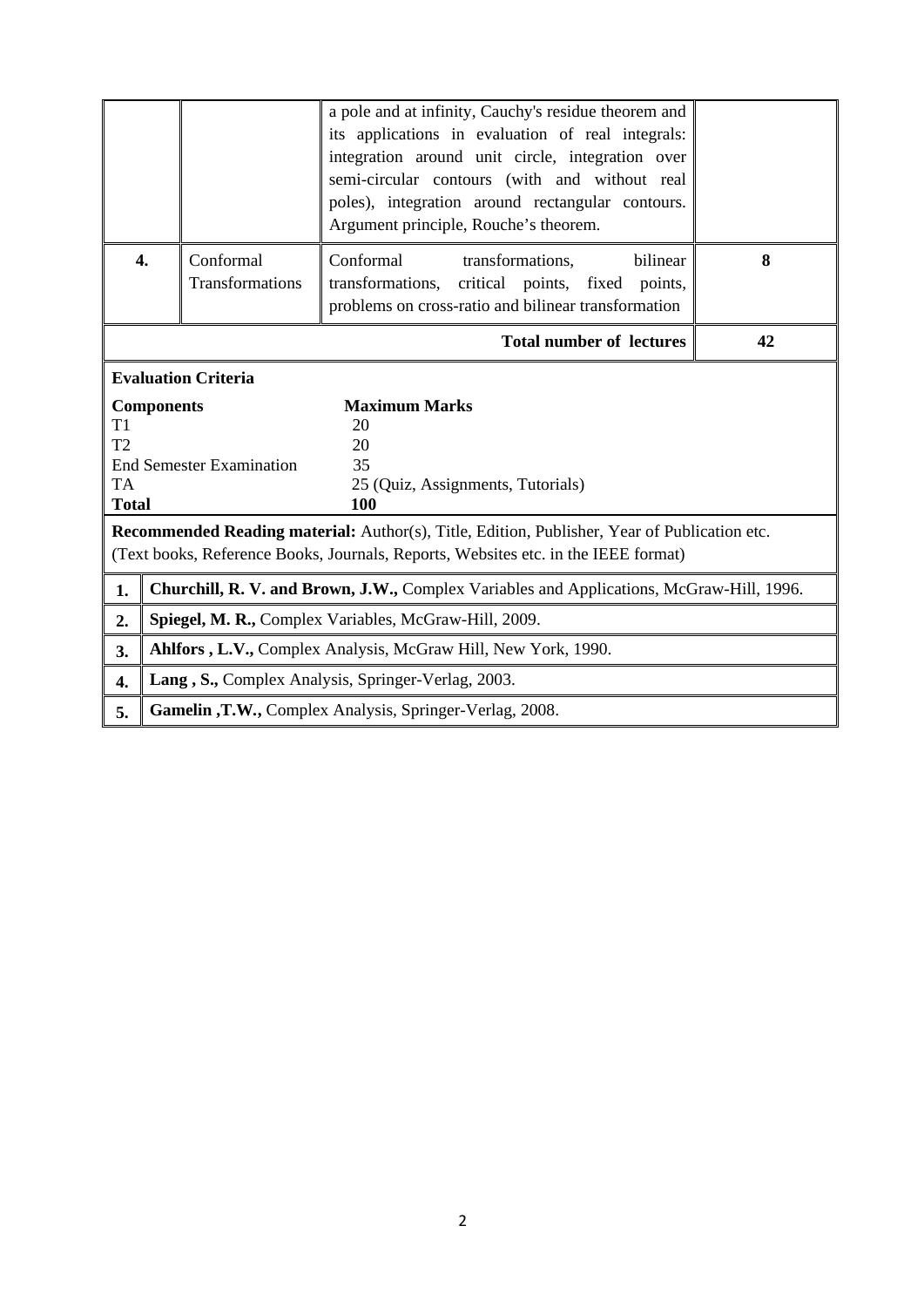|              | a pole and at infinity, Cauchy's residue theorem and<br>its applications in evaluation of real integrals:<br>integration around unit circle, integration over<br>semi-circular contours (with and without real |                                 |                                                                                                                                                              |   |  |  |  |  |
|--------------|----------------------------------------------------------------------------------------------------------------------------------------------------------------------------------------------------------------|---------------------------------|--------------------------------------------------------------------------------------------------------------------------------------------------------------|---|--|--|--|--|
|              |                                                                                                                                                                                                                |                                 | poles), integration around rectangular contours.<br>Argument principle, Rouche's theorem.                                                                    |   |  |  |  |  |
| 4.           |                                                                                                                                                                                                                | Conformal<br>Transformations    | Conformal<br>transformations,<br>bilinear<br>critical points,<br>transformations,<br>fixed<br>points,<br>problems on cross-ratio and bilinear transformation | 8 |  |  |  |  |
|              | 42<br><b>Total number of lectures</b>                                                                                                                                                                          |                                 |                                                                                                                                                              |   |  |  |  |  |
|              |                                                                                                                                                                                                                | <b>Evaluation Criteria</b>      |                                                                                                                                                              |   |  |  |  |  |
|              | <b>Components</b>                                                                                                                                                                                              |                                 | <b>Maximum Marks</b>                                                                                                                                         |   |  |  |  |  |
| T1           |                                                                                                                                                                                                                |                                 | 20                                                                                                                                                           |   |  |  |  |  |
| T2           |                                                                                                                                                                                                                |                                 | 20                                                                                                                                                           |   |  |  |  |  |
|              |                                                                                                                                                                                                                | <b>End Semester Examination</b> | 35                                                                                                                                                           |   |  |  |  |  |
| <b>TA</b>    |                                                                                                                                                                                                                |                                 | 25 (Quiz, Assignments, Tutorials)                                                                                                                            |   |  |  |  |  |
| <b>Total</b> |                                                                                                                                                                                                                |                                 | 100                                                                                                                                                          |   |  |  |  |  |
|              | Recommended Reading material: Author(s), Title, Edition, Publisher, Year of Publication etc.<br>(Text books, Reference Books, Journals, Reports, Websites etc. in the IEEE format)                             |                                 |                                                                                                                                                              |   |  |  |  |  |
| 1.           |                                                                                                                                                                                                                |                                 | Churchill, R. V. and Brown, J.W., Complex Variables and Applications, McGraw-Hill, 1996.                                                                     |   |  |  |  |  |
| 2.           |                                                                                                                                                                                                                |                                 | Spiegel, M. R., Complex Variables, McGraw-Hill, 2009.                                                                                                        |   |  |  |  |  |
| 3.           |                                                                                                                                                                                                                |                                 | Ahlfors, L.V., Complex Analysis, McGraw Hill, New York, 1990.                                                                                                |   |  |  |  |  |
| 4.           |                                                                                                                                                                                                                |                                 | Lang, S., Complex Analysis, Springer-Verlag, 2003.                                                                                                           |   |  |  |  |  |
| 5.           |                                                                                                                                                                                                                |                                 | Gamelin, T.W., Complex Analysis, Springer-Verlag, 2008.                                                                                                      |   |  |  |  |  |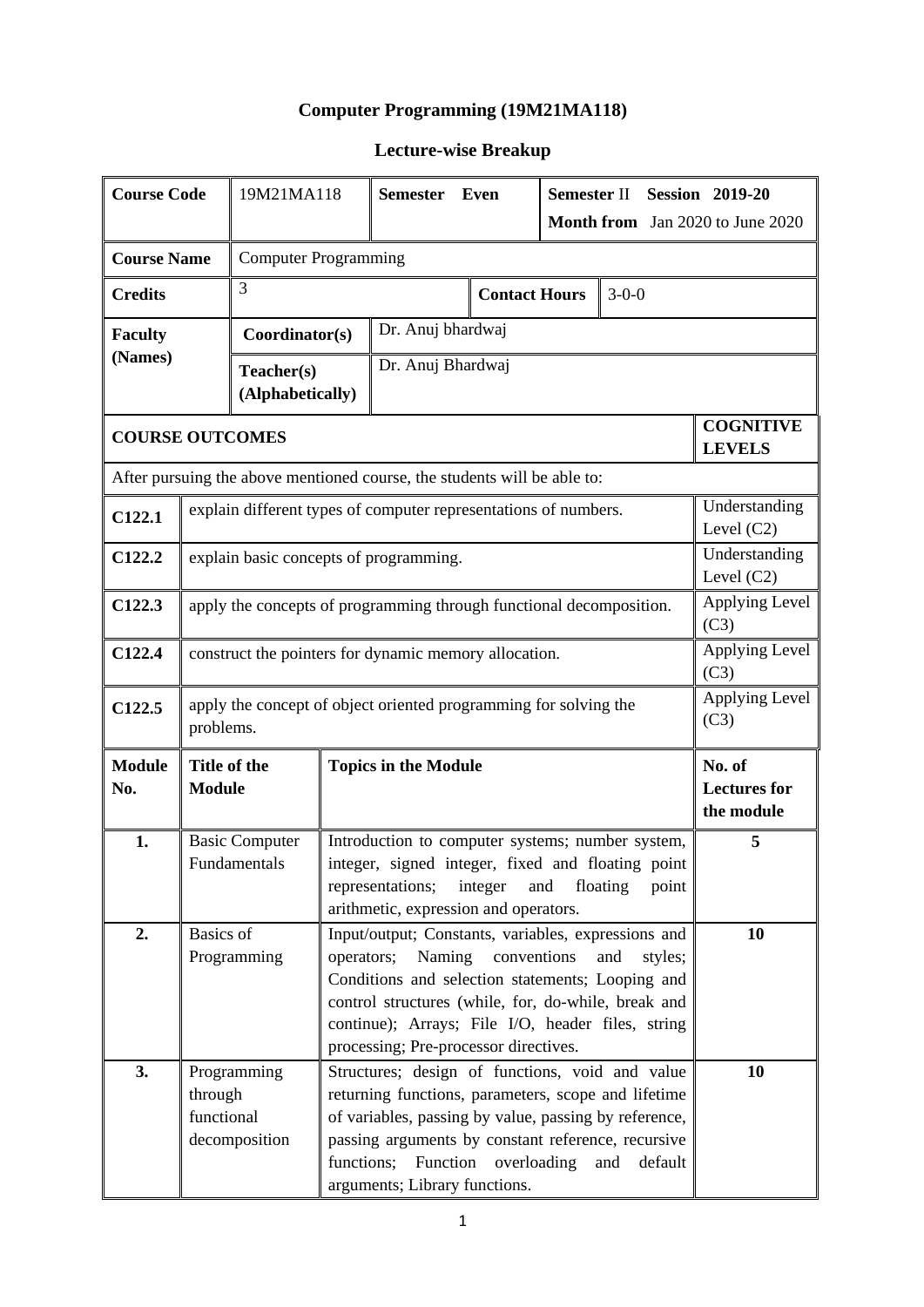## **Computer Programming (19M21MA118)**

| <b>Course Code</b>     | 19M21MA118<br>Semester Even<br>Semester II<br><b>Session 2019-20</b><br>Month from Jan 2020 to June 2020                                                                                                                                                                                                                                                                                           |                                                                                                                                                                                                                                                                                                                                                          |                  |                             |                      |                        |                                                                                                                            |                                             |
|------------------------|----------------------------------------------------------------------------------------------------------------------------------------------------------------------------------------------------------------------------------------------------------------------------------------------------------------------------------------------------------------------------------------------------|----------------------------------------------------------------------------------------------------------------------------------------------------------------------------------------------------------------------------------------------------------------------------------------------------------------------------------------------------------|------------------|-----------------------------|----------------------|------------------------|----------------------------------------------------------------------------------------------------------------------------|---------------------------------------------|
| <b>Course Name</b>     |                                                                                                                                                                                                                                                                                                                                                                                                    | <b>Computer Programming</b>                                                                                                                                                                                                                                                                                                                              |                  |                             |                      |                        |                                                                                                                            |                                             |
| <b>Credits</b>         |                                                                                                                                                                                                                                                                                                                                                                                                    | 3                                                                                                                                                                                                                                                                                                                                                        |                  |                             | <b>Contact Hours</b> |                        | $3 - 0 - 0$                                                                                                                |                                             |
| <b>Faculty</b>         |                                                                                                                                                                                                                                                                                                                                                                                                    | Coordinator(s)                                                                                                                                                                                                                                                                                                                                           |                  | Dr. Anuj bhardwaj           |                      |                        |                                                                                                                            |                                             |
| (Names)                |                                                                                                                                                                                                                                                                                                                                                                                                    | Teacher(s)                                                                                                                                                                                                                                                                                                                                               |                  | Dr. Anuj Bhardwaj           |                      |                        |                                                                                                                            |                                             |
|                        |                                                                                                                                                                                                                                                                                                                                                                                                    |                                                                                                                                                                                                                                                                                                                                                          | (Alphabetically) |                             |                      |                        |                                                                                                                            |                                             |
| <b>COURSE OUTCOMES</b> |                                                                                                                                                                                                                                                                                                                                                                                                    |                                                                                                                                                                                                                                                                                                                                                          |                  |                             |                      |                        |                                                                                                                            | <b>COGNITIVE</b><br><b>LEVELS</b>           |
|                        |                                                                                                                                                                                                                                                                                                                                                                                                    | After pursuing the above mentioned course, the students will be able to:                                                                                                                                                                                                                                                                                 |                  |                             |                      |                        |                                                                                                                            |                                             |
| C122.1                 |                                                                                                                                                                                                                                                                                                                                                                                                    | explain different types of computer representations of numbers.                                                                                                                                                                                                                                                                                          |                  |                             |                      |                        |                                                                                                                            | Understanding<br>Level $(C2)$               |
| C122.2                 |                                                                                                                                                                                                                                                                                                                                                                                                    | explain basic concepts of programming.                                                                                                                                                                                                                                                                                                                   |                  |                             |                      |                        |                                                                                                                            | Understanding<br>Level $(C2)$               |
| C122.3                 |                                                                                                                                                                                                                                                                                                                                                                                                    | apply the concepts of programming through functional decomposition.                                                                                                                                                                                                                                                                                      |                  |                             |                      |                        |                                                                                                                            | Applying Level<br>(C3)                      |
| C122.4                 |                                                                                                                                                                                                                                                                                                                                                                                                    | construct the pointers for dynamic memory allocation.                                                                                                                                                                                                                                                                                                    |                  |                             |                      |                        |                                                                                                                            | Applying Level<br>(C3)                      |
| C122.5                 | apply the concept of object oriented programming for solving the<br>problems.                                                                                                                                                                                                                                                                                                                      |                                                                                                                                                                                                                                                                                                                                                          |                  |                             |                      | Applying Level<br>(C3) |                                                                                                                            |                                             |
| <b>Module</b><br>No.   | Title of the<br><b>Module</b>                                                                                                                                                                                                                                                                                                                                                                      |                                                                                                                                                                                                                                                                                                                                                          |                  | <b>Topics in the Module</b> |                      |                        |                                                                                                                            | No. of<br><b>Lectures for</b><br>the module |
| 1.                     |                                                                                                                                                                                                                                                                                                                                                                                                    | <b>Basic Computer</b><br>Fundamentals                                                                                                                                                                                                                                                                                                                    |                  | representations;            | integer              | and                    | Introduction to computer systems; number system,<br>integer, signed integer, fixed and floating point<br>floating<br>point | 5                                           |
| 2.                     |                                                                                                                                                                                                                                                                                                                                                                                                    | arithmetic, expression and operators.<br><b>Basics</b> of<br>Input/output; Constants, variables, expressions and<br>Naming<br>Programming<br>operators;<br>conventions<br>and<br>styles;<br>Conditions and selection statements; Looping and<br>control structures (while, for, do-while, break and<br>continue); Arrays; File I/O, header files, string |                  |                             |                      | 10                     |                                                                                                                            |                                             |
| 3.                     | processing; Pre-processor directives.<br>Programming<br>Structures; design of functions, void and value<br>through<br>returning functions, parameters, scope and lifetime<br>functional<br>of variables, passing by value, passing by reference,<br>decomposition<br>passing arguments by constant reference, recursive<br>functions; Function overloading<br>and<br>arguments; Library functions. |                                                                                                                                                                                                                                                                                                                                                          |                  | default                     | 10                   |                        |                                                                                                                            |                                             |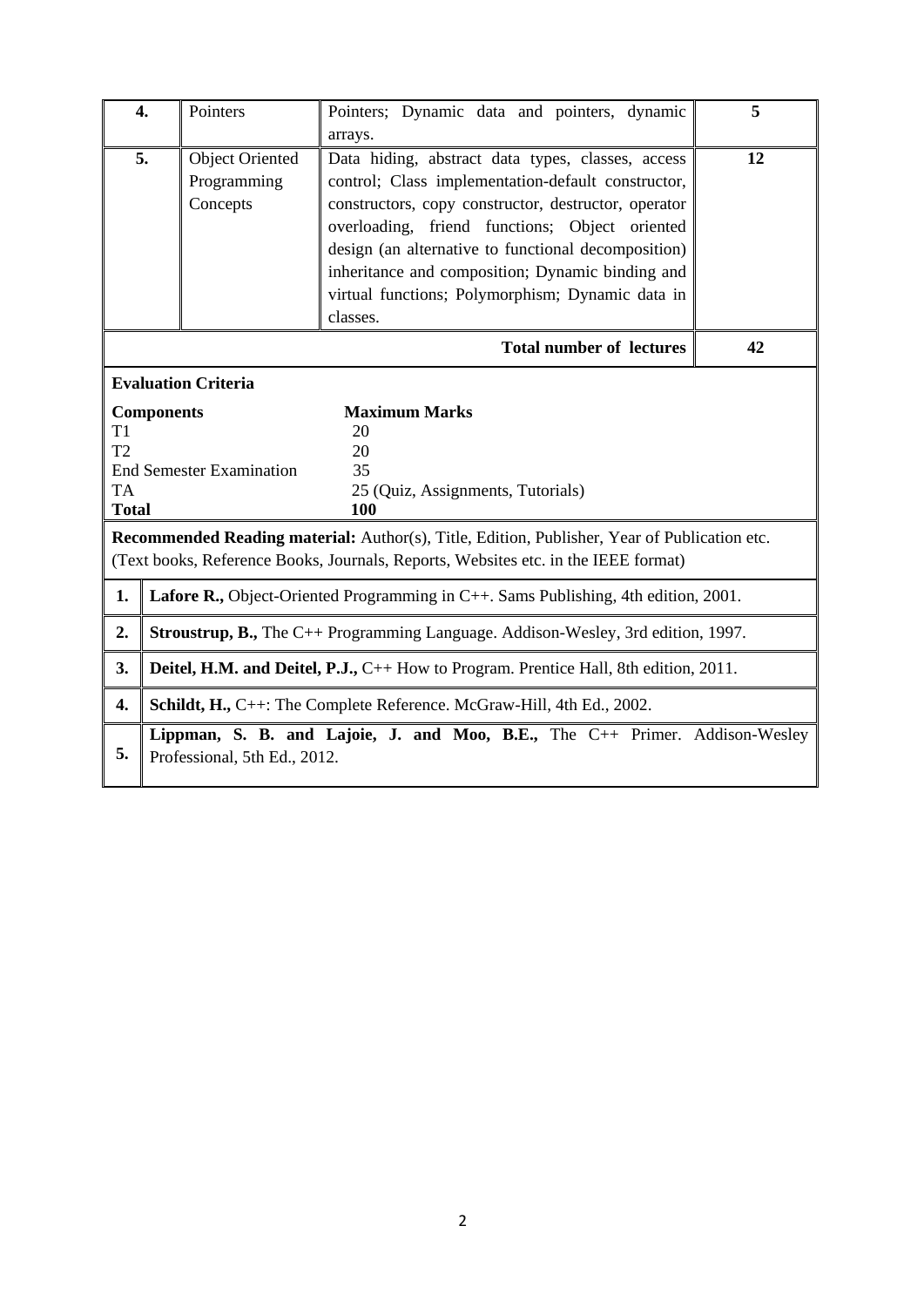| 4.             |                                                                                                                                                                                          | Pointers                                          | Pointers; Dynamic data and pointers, dynamic<br>arrays.                                                                                                                                                                                                                                                                                                                                      | 5  |  |  |
|----------------|------------------------------------------------------------------------------------------------------------------------------------------------------------------------------------------|---------------------------------------------------|----------------------------------------------------------------------------------------------------------------------------------------------------------------------------------------------------------------------------------------------------------------------------------------------------------------------------------------------------------------------------------------------|----|--|--|
| 5.             |                                                                                                                                                                                          | <b>Object Oriented</b><br>Programming<br>Concepts | Data hiding, abstract data types, classes, access<br>control; Class implementation-default constructor,<br>constructors, copy constructor, destructor, operator<br>overloading, friend functions; Object oriented<br>design (an alternative to functional decomposition)<br>inheritance and composition; Dynamic binding and<br>virtual functions; Polymorphism; Dynamic data in<br>classes. | 12 |  |  |
|                |                                                                                                                                                                                          |                                                   | <b>Total number of lectures</b>                                                                                                                                                                                                                                                                                                                                                              | 42 |  |  |
| T1<br>T2<br>TA | <b>Evaluation Criteria</b><br><b>Maximum Marks</b><br><b>Components</b><br>20<br>20<br><b>End Semester Examination</b><br>35<br>25 (Quiz, Assignments, Tutorials)<br><b>Total</b><br>100 |                                                   |                                                                                                                                                                                                                                                                                                                                                                                              |    |  |  |
|                |                                                                                                                                                                                          |                                                   | Recommended Reading material: Author(s), Title, Edition, Publisher, Year of Publication etc.<br>(Text books, Reference Books, Journals, Reports, Websites etc. in the IEEE format)                                                                                                                                                                                                           |    |  |  |
| 1.             |                                                                                                                                                                                          |                                                   | <b>Lafore R., Object-Oriented Programming in C++. Sams Publishing, 4th edition, 2001.</b>                                                                                                                                                                                                                                                                                                    |    |  |  |
| 2.             |                                                                                                                                                                                          |                                                   | <b>Stroustrup, B.,</b> The C++ Programming Language. Addison-Wesley, 3rd edition, 1997.                                                                                                                                                                                                                                                                                                      |    |  |  |
| 3.             |                                                                                                                                                                                          |                                                   | <b>Deitel, H.M. and Deitel, P.J., C++ How to Program. Prentice Hall, 8th edition, 2011.</b>                                                                                                                                                                                                                                                                                                  |    |  |  |
| 4.             |                                                                                                                                                                                          |                                                   | Schildt, H., C++: The Complete Reference. McGraw-Hill, 4th Ed., 2002.                                                                                                                                                                                                                                                                                                                        |    |  |  |
| 5.             | Lippman, S. B. and Lajoie, J. and Moo, B.E., The C++ Primer. Addison-Wesley<br>Professional, 5th Ed., 2012.                                                                              |                                                   |                                                                                                                                                                                                                                                                                                                                                                                              |    |  |  |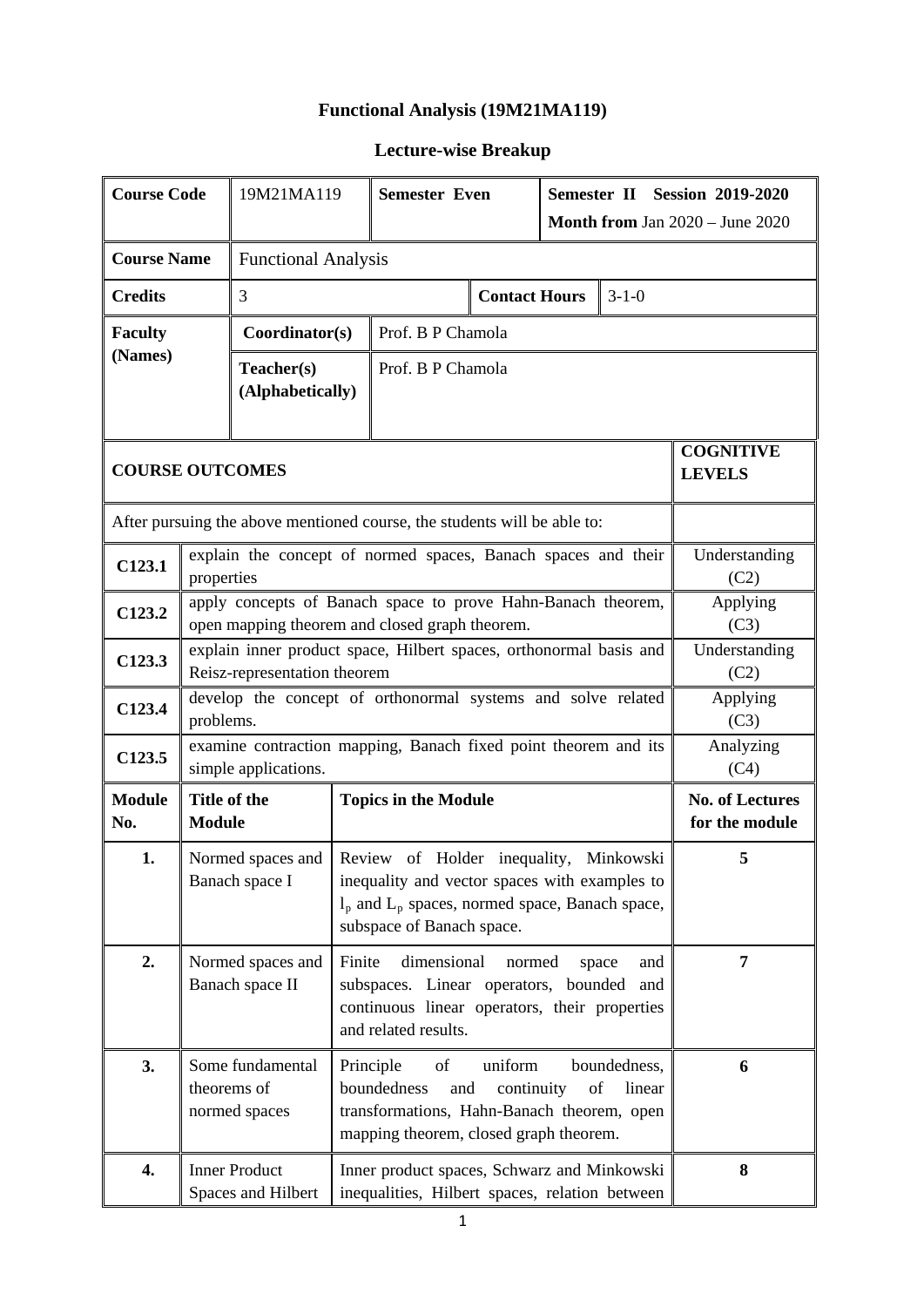## **Functional Analysis (19M21MA119)**

|                        | <b>Course Code</b><br><b>Semester Even</b><br>Semester II Session 2019-2020<br>19M21MA119 |                                                                                                                             |                                                                                                                                                                                        |                                                                                                                                                                             |        |                                          |            |                                          |  |
|------------------------|-------------------------------------------------------------------------------------------|-----------------------------------------------------------------------------------------------------------------------------|----------------------------------------------------------------------------------------------------------------------------------------------------------------------------------------|-----------------------------------------------------------------------------------------------------------------------------------------------------------------------------|--------|------------------------------------------|------------|------------------------------------------|--|
|                        |                                                                                           |                                                                                                                             |                                                                                                                                                                                        |                                                                                                                                                                             |        | <b>Month from Jan 2020</b> - June $2020$ |            |                                          |  |
| <b>Course Name</b>     |                                                                                           |                                                                                                                             | <b>Functional Analysis</b>                                                                                                                                                             |                                                                                                                                                                             |        |                                          |            |                                          |  |
| <b>Credits</b>         | 3<br><b>Contact Hours</b><br>$3 - 1 - 0$                                                  |                                                                                                                             |                                                                                                                                                                                        |                                                                                                                                                                             |        |                                          |            |                                          |  |
| <b>Faculty</b>         |                                                                                           | Coordinator(s)                                                                                                              |                                                                                                                                                                                        | Prof. B P Chamola                                                                                                                                                           |        |                                          |            |                                          |  |
| (Names)                |                                                                                           | Teacher(s)<br>(Alphabetically)                                                                                              |                                                                                                                                                                                        | Prof. B P Chamola                                                                                                                                                           |        |                                          |            |                                          |  |
| <b>COURSE OUTCOMES</b> |                                                                                           |                                                                                                                             |                                                                                                                                                                                        |                                                                                                                                                                             |        |                                          |            | <b>COGNITIVE</b><br><b>LEVELS</b>        |  |
|                        |                                                                                           | After pursuing the above mentioned course, the students will be able to:                                                    |                                                                                                                                                                                        |                                                                                                                                                                             |        |                                          |            |                                          |  |
| C123.1                 | properties                                                                                | explain the concept of normed spaces, Banach spaces and their                                                               |                                                                                                                                                                                        |                                                                                                                                                                             |        |                                          |            | Understanding<br>(C2)                    |  |
| C123.2                 |                                                                                           | apply concepts of Banach space to prove Hahn-Banach theorem,<br>open mapping theorem and closed graph theorem.              |                                                                                                                                                                                        |                                                                                                                                                                             |        |                                          |            | Applying<br>(C3)                         |  |
| C123.3                 |                                                                                           | explain inner product space, Hilbert spaces, orthonormal basis and<br>Understanding<br>Reisz-representation theorem<br>(C2) |                                                                                                                                                                                        |                                                                                                                                                                             |        |                                          |            |                                          |  |
| C123.4                 |                                                                                           | develop the concept of orthonormal systems and solve related<br>problems.<br>(C3)                                           |                                                                                                                                                                                        |                                                                                                                                                                             |        |                                          |            | Applying                                 |  |
| C123.5                 |                                                                                           | examine contraction mapping, Banach fixed point theorem and its<br>simple applications.                                     |                                                                                                                                                                                        |                                                                                                                                                                             |        |                                          |            | Analyzing<br>(C4)                        |  |
| <b>Module</b><br>No.   | Title of the<br><b>Module</b>                                                             |                                                                                                                             |                                                                                                                                                                                        | <b>Topics in the Module</b>                                                                                                                                                 |        |                                          |            | <b>No. of Lectures</b><br>for the module |  |
| 1.                     |                                                                                           | Normed spaces and<br>Banach space I                                                                                         |                                                                                                                                                                                        | Review of Holder inequality, Minkowski<br>inequality and vector spaces with examples to<br>$l_p$ and $L_p$ spaces, normed space, Banach space,<br>subspace of Banach space. |        |                                          |            | 5                                        |  |
| 2.                     |                                                                                           | Normed spaces and<br>Banach space II                                                                                        | Finite                                                                                                                                                                                 | dimensional<br>subspaces. Linear operators, bounded<br>continuous linear operators, their properties<br>and related results.                                                | normed | space                                    | and<br>and | 7                                        |  |
| 3.                     | theorems of                                                                               | Some fundamental<br>normed spaces                                                                                           | uniform<br>Principle<br>of<br>boundedness,<br>boundedness<br>continuity<br>of<br>linear<br>and<br>transformations, Hahn-Banach theorem, open<br>mapping theorem, closed graph theorem. |                                                                                                                                                                             |        |                                          |            | 6                                        |  |
| 4.                     |                                                                                           | <b>Inner Product</b><br>Spaces and Hilbert                                                                                  |                                                                                                                                                                                        | Inner product spaces, Schwarz and Minkowski<br>inequalities, Hilbert spaces, relation between                                                                               |        |                                          |            | 8                                        |  |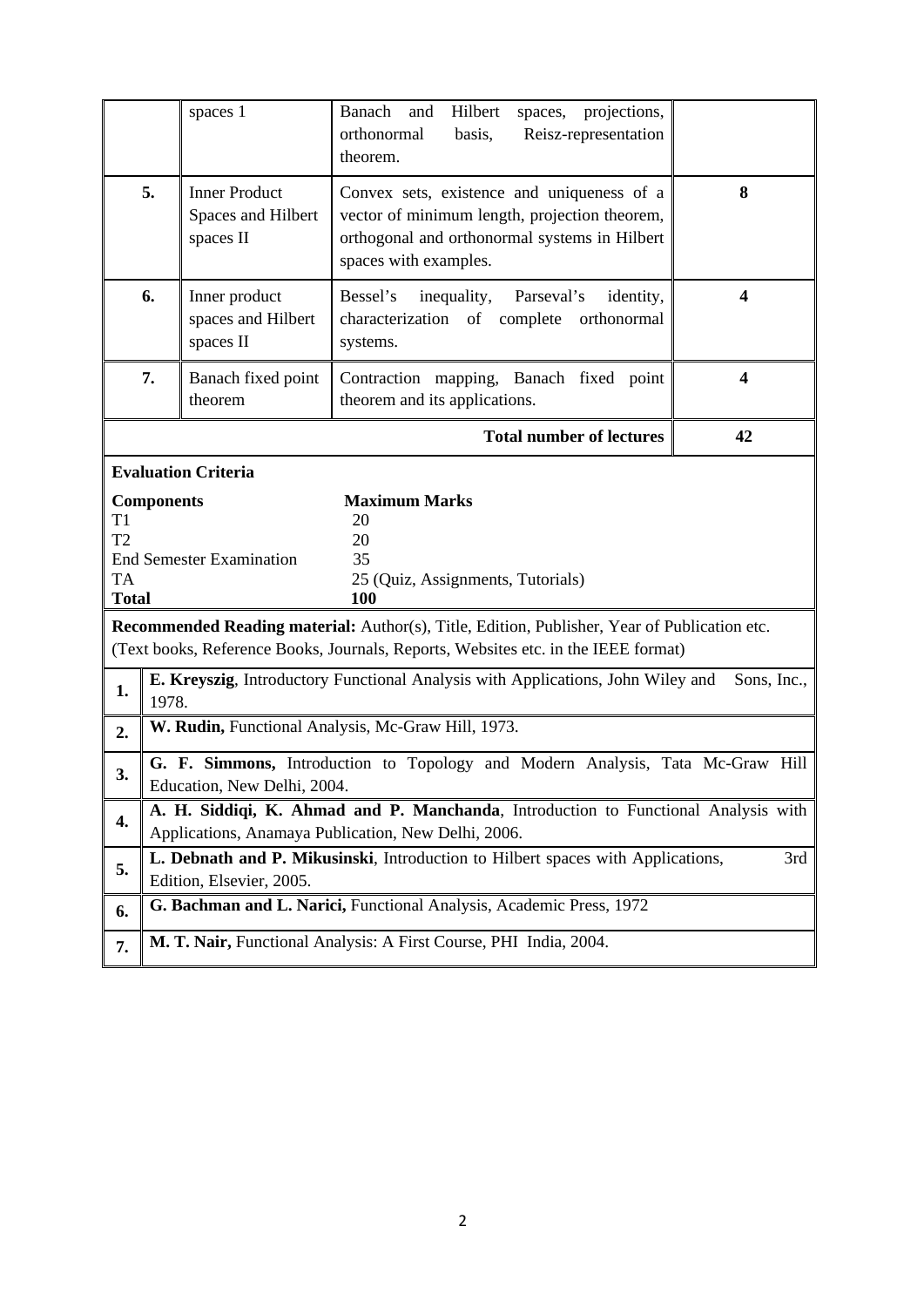|                                            |                                                                                                                                           | spaces 1                                                | Hilbert<br>spaces, projections,<br>Banach<br>and<br>orthonormal<br>Reisz-representation<br>basis,<br>theorem.                                                                      |                         |  |  |
|--------------------------------------------|-------------------------------------------------------------------------------------------------------------------------------------------|---------------------------------------------------------|------------------------------------------------------------------------------------------------------------------------------------------------------------------------------------|-------------------------|--|--|
|                                            | 5.                                                                                                                                        | <b>Inner Product</b><br>Spaces and Hilbert<br>spaces II | 8                                                                                                                                                                                  |                         |  |  |
|                                            | 6.                                                                                                                                        | Inner product<br>spaces and Hilbert<br>spaces II        | $\overline{\mathbf{4}}$                                                                                                                                                            |                         |  |  |
|                                            | 7.                                                                                                                                        | Banach fixed point<br>theorem                           | Contraction mapping, Banach fixed point<br>theorem and its applications.                                                                                                           | $\overline{\mathbf{4}}$ |  |  |
|                                            |                                                                                                                                           |                                                         | <b>Total number of lectures</b>                                                                                                                                                    | 42                      |  |  |
|                                            |                                                                                                                                           | <b>Evaluation Criteria</b>                              |                                                                                                                                                                                    |                         |  |  |
| T1<br>T <sub>2</sub><br>TA<br><b>Total</b> | <b>Components</b>                                                                                                                         | <b>End Semester Examination</b>                         | <b>Maximum Marks</b><br>20<br>20<br>35<br>25 (Quiz, Assignments, Tutorials)<br><b>100</b>                                                                                          |                         |  |  |
|                                            |                                                                                                                                           |                                                         | Recommended Reading material: Author(s), Title, Edition, Publisher, Year of Publication etc.<br>(Text books, Reference Books, Journals, Reports, Websites etc. in the IEEE format) |                         |  |  |
| 1.                                         | 1978.                                                                                                                                     |                                                         | E. Kreyszig, Introductory Functional Analysis with Applications, John Wiley and                                                                                                    | Sons, Inc.,             |  |  |
| 2.                                         |                                                                                                                                           |                                                         | W. Rudin, Functional Analysis, Mc-Graw Hill, 1973.                                                                                                                                 |                         |  |  |
| 3.                                         |                                                                                                                                           | Education, New Delhi, 2004.                             | G. F. Simmons, Introduction to Topology and Modern Analysis, Tata Mc-Graw Hill                                                                                                     |                         |  |  |
| 4.                                         | A. H. Siddiqi, K. Ahmad and P. Manchanda, Introduction to Functional Analysis with<br>Applications, Anamaya Publication, New Delhi, 2006. |                                                         |                                                                                                                                                                                    |                         |  |  |
| 5.                                         |                                                                                                                                           | Edition, Elsevier, 2005.                                | L. Debnath and P. Mikusinski, Introduction to Hilbert spaces with Applications,                                                                                                    | 3rd                     |  |  |
| 6.                                         |                                                                                                                                           |                                                         | G. Bachman and L. Narici, Functional Analysis, Academic Press, 1972                                                                                                                |                         |  |  |
| 7.                                         |                                                                                                                                           |                                                         | M. T. Nair, Functional Analysis: A First Course, PHI India, 2004.                                                                                                                  |                         |  |  |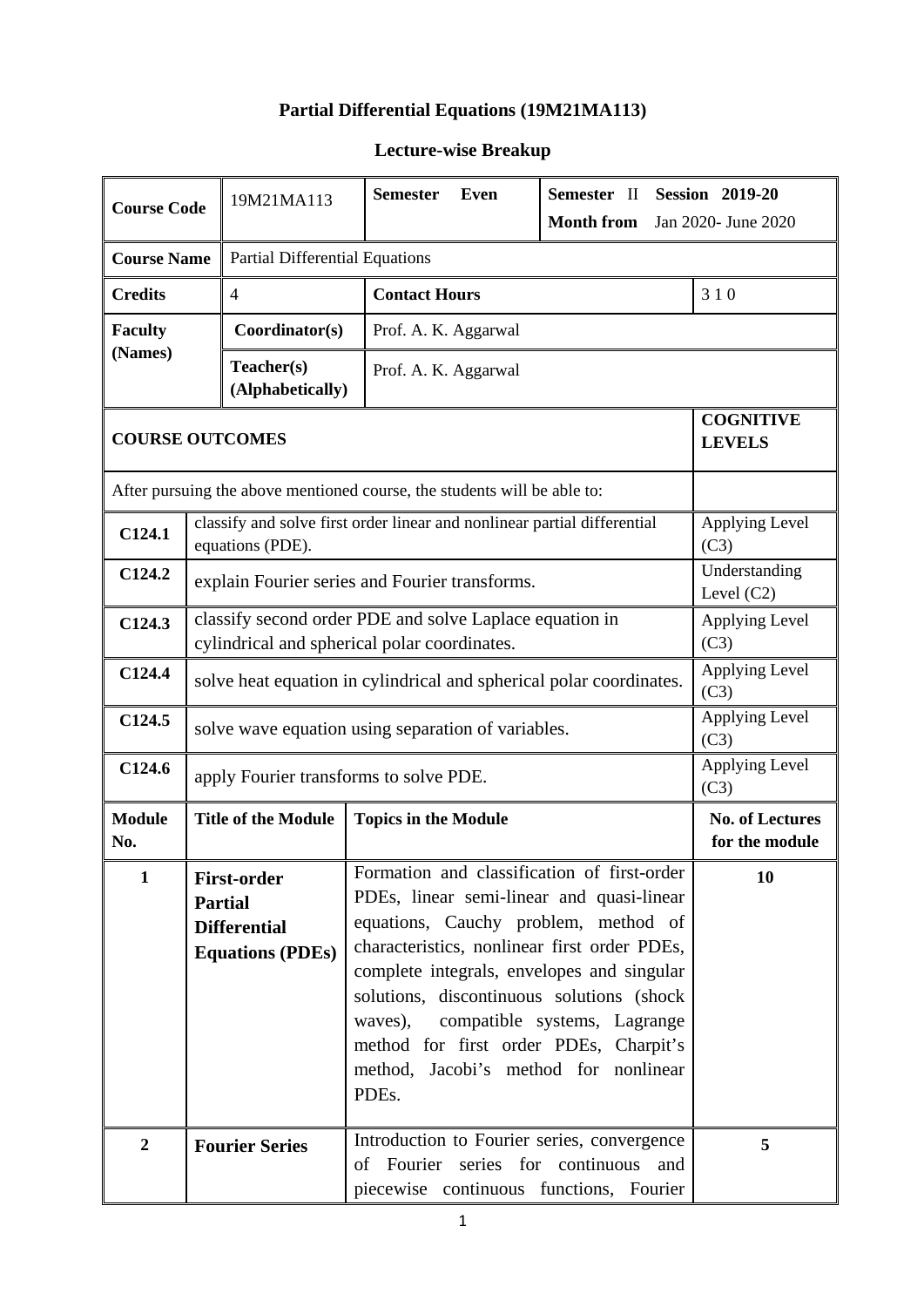## **Partial Differential Equations (19M21MA113)**

| <b>Course Code</b>     | <b>Semester</b><br>Even<br>Semester II<br><b>Session 2019-20</b><br>19M21MA113<br><b>Month from</b><br>Jan 2020- June 2020 |                                                                                                                                   |                                                                                                                                                                                                                                                                                                                                                                                                                 |  |                                          |  |  |
|------------------------|----------------------------------------------------------------------------------------------------------------------------|-----------------------------------------------------------------------------------------------------------------------------------|-----------------------------------------------------------------------------------------------------------------------------------------------------------------------------------------------------------------------------------------------------------------------------------------------------------------------------------------------------------------------------------------------------------------|--|------------------------------------------|--|--|
| <b>Course Name</b>     |                                                                                                                            | <b>Partial Differential Equations</b>                                                                                             |                                                                                                                                                                                                                                                                                                                                                                                                                 |  |                                          |  |  |
| <b>Credits</b>         |                                                                                                                            | $\overline{4}$                                                                                                                    | <b>Contact Hours</b>                                                                                                                                                                                                                                                                                                                                                                                            |  | 310                                      |  |  |
| <b>Faculty</b>         |                                                                                                                            | Coordinator(s)                                                                                                                    | Prof. A. K. Aggarwal                                                                                                                                                                                                                                                                                                                                                                                            |  |                                          |  |  |
| (Names)                |                                                                                                                            | Teacher(s)<br>(Alphabetically)                                                                                                    | Prof. A. K. Aggarwal                                                                                                                                                                                                                                                                                                                                                                                            |  |                                          |  |  |
| <b>COURSE OUTCOMES</b> |                                                                                                                            |                                                                                                                                   |                                                                                                                                                                                                                                                                                                                                                                                                                 |  | <b>COGNITIVE</b><br><b>LEVELS</b>        |  |  |
|                        |                                                                                                                            |                                                                                                                                   | After pursuing the above mentioned course, the students will be able to:                                                                                                                                                                                                                                                                                                                                        |  |                                          |  |  |
| C124.1                 |                                                                                                                            | equations (PDE).                                                                                                                  | classify and solve first order linear and nonlinear partial differential                                                                                                                                                                                                                                                                                                                                        |  | Applying Level<br>(C3)                   |  |  |
| C124.2                 |                                                                                                                            |                                                                                                                                   | explain Fourier series and Fourier transforms.                                                                                                                                                                                                                                                                                                                                                                  |  | Understanding<br>Level $(C2)$            |  |  |
| C124.3                 |                                                                                                                            | classify second order PDE and solve Laplace equation in<br>Applying Level<br>(C3)<br>cylindrical and spherical polar coordinates. |                                                                                                                                                                                                                                                                                                                                                                                                                 |  |                                          |  |  |
| C124.4                 |                                                                                                                            |                                                                                                                                   | solve heat equation in cylindrical and spherical polar coordinates.                                                                                                                                                                                                                                                                                                                                             |  | Applying Level<br>(C3)                   |  |  |
| C124.5                 |                                                                                                                            | solve wave equation using separation of variables.                                                                                | Applying Level<br>(C3)                                                                                                                                                                                                                                                                                                                                                                                          |  |                                          |  |  |
| C124.6                 |                                                                                                                            |                                                                                                                                   | apply Fourier transforms to solve PDE.                                                                                                                                                                                                                                                                                                                                                                          |  | Applying Level<br>(C3)                   |  |  |
| <b>Module</b><br>No.   |                                                                                                                            | <b>Title of the Module</b>                                                                                                        | <b>Topics in the Module</b>                                                                                                                                                                                                                                                                                                                                                                                     |  | <b>No. of Lectures</b><br>for the module |  |  |
| $\mathbf{1}$           | <b>Partial</b>                                                                                                             | <b>First-order</b><br><b>Differential</b><br><b>Equations (PDEs)</b>                                                              | Formation and classification of first-order<br>PDEs, linear semi-linear and quasi-linear<br>equations, Cauchy problem, method of<br>characteristics, nonlinear first order PDEs,<br>complete integrals, envelopes and singular<br>solutions, discontinuous solutions (shock<br>waves), compatible systems, Lagrange<br>method for first order PDEs, Charpit's<br>method, Jacobi's method for nonlinear<br>PDEs. |  | 10                                       |  |  |
| $\overline{2}$         |                                                                                                                            | <b>Fourier Series</b>                                                                                                             | Introduction to Fourier series, convergence<br>of Fourier series for continuous and<br>piecewise continuous functions, Fourier                                                                                                                                                                                                                                                                                  |  | 5                                        |  |  |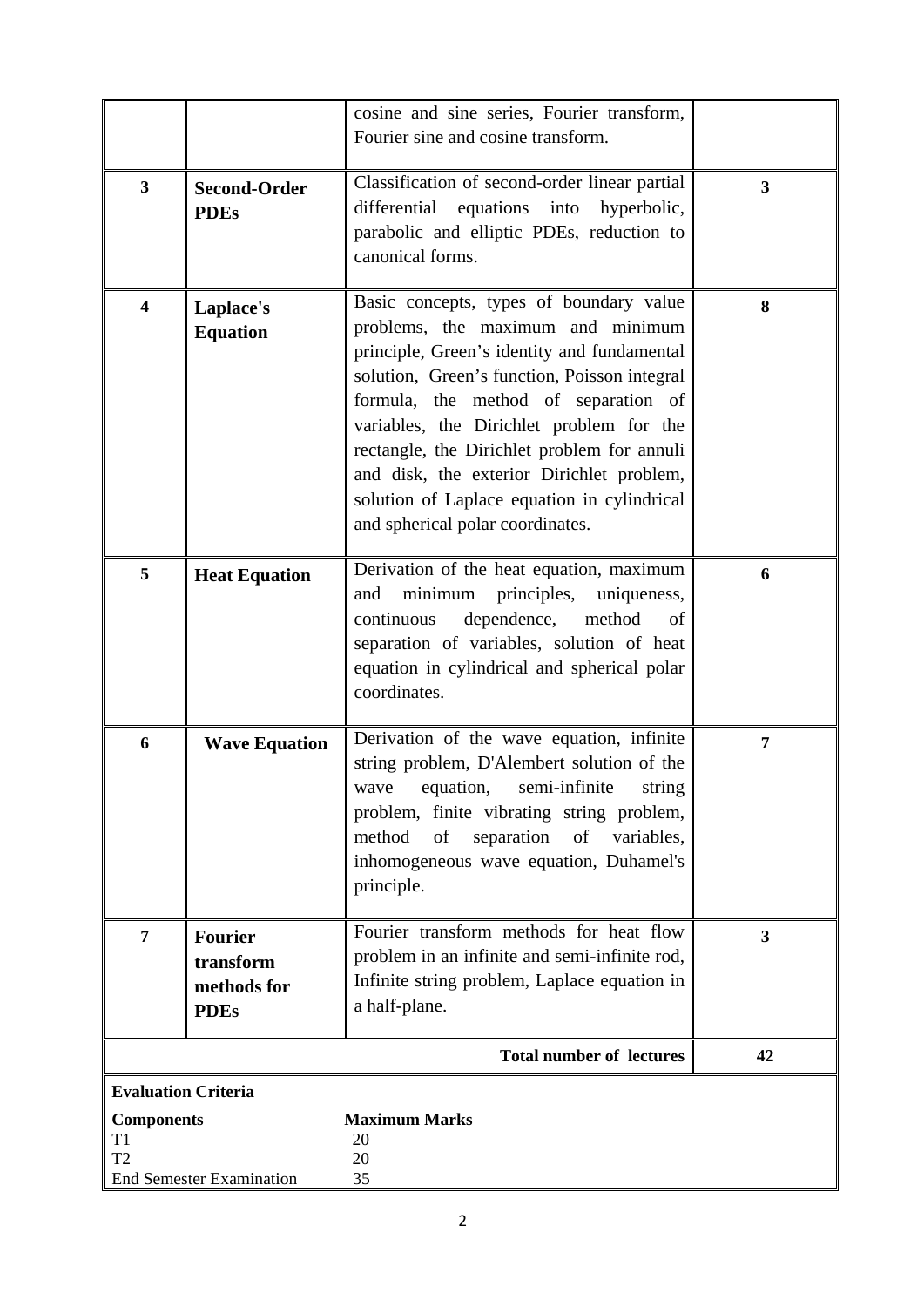|                                           |                                                           | cosine and sine series, Fourier transform,<br>Fourier sine and cosine transform.                                                                                                                                                                                                                                                                                                                                                               |                         |
|-------------------------------------------|-----------------------------------------------------------|------------------------------------------------------------------------------------------------------------------------------------------------------------------------------------------------------------------------------------------------------------------------------------------------------------------------------------------------------------------------------------------------------------------------------------------------|-------------------------|
| 3                                         | <b>Second-Order</b><br><b>PDEs</b>                        | Classification of second-order linear partial<br>equations<br>differential<br>into<br>hyperbolic,<br>parabolic and elliptic PDEs, reduction to<br>canonical forms.                                                                                                                                                                                                                                                                             | 3                       |
| 4                                         | Laplace's<br><b>Equation</b>                              | Basic concepts, types of boundary value<br>problems, the maximum and minimum<br>principle, Green's identity and fundamental<br>solution, Green's function, Poisson integral<br>formula, the method of separation of<br>variables, the Dirichlet problem for the<br>rectangle, the Dirichlet problem for annuli<br>and disk, the exterior Dirichlet problem,<br>solution of Laplace equation in cylindrical<br>and spherical polar coordinates. | 8                       |
| 5                                         | <b>Heat Equation</b>                                      | Derivation of the heat equation, maximum<br>minimum<br>principles,<br>uniqueness,<br>and<br>dependence,<br>method<br>continuous<br>of<br>separation of variables, solution of heat<br>equation in cylindrical and spherical polar<br>coordinates.                                                                                                                                                                                              | 6                       |
| 6                                         | <b>Wave Equation</b>                                      | Derivation of the wave equation, infinite<br>string problem, D'Alembert solution of the<br>wave equation, semi-infinite<br>string<br>problem, finite vibrating string problem,<br>method<br>of<br>separation of variables,<br>inhomogeneous wave equation, Duhamel's<br>principle.                                                                                                                                                             | 7                       |
| 7                                         | <b>Fourier</b><br>transform<br>methods for<br><b>PDEs</b> | Fourier transform methods for heat flow<br>problem in an infinite and semi-infinite rod,<br>Infinite string problem, Laplace equation in<br>a half-plane.                                                                                                                                                                                                                                                                                      | $\overline{\mathbf{3}}$ |
|                                           |                                                           | <b>Total number of lectures</b>                                                                                                                                                                                                                                                                                                                                                                                                                | 42                      |
| <b>Evaluation Criteria</b>                |                                                           |                                                                                                                                                                                                                                                                                                                                                                                                                                                |                         |
| <b>Components</b><br>T1<br>T <sub>2</sub> | <b>End Semester Examination</b>                           | <b>Maximum Marks</b><br>20<br>20<br>35                                                                                                                                                                                                                                                                                                                                                                                                         |                         |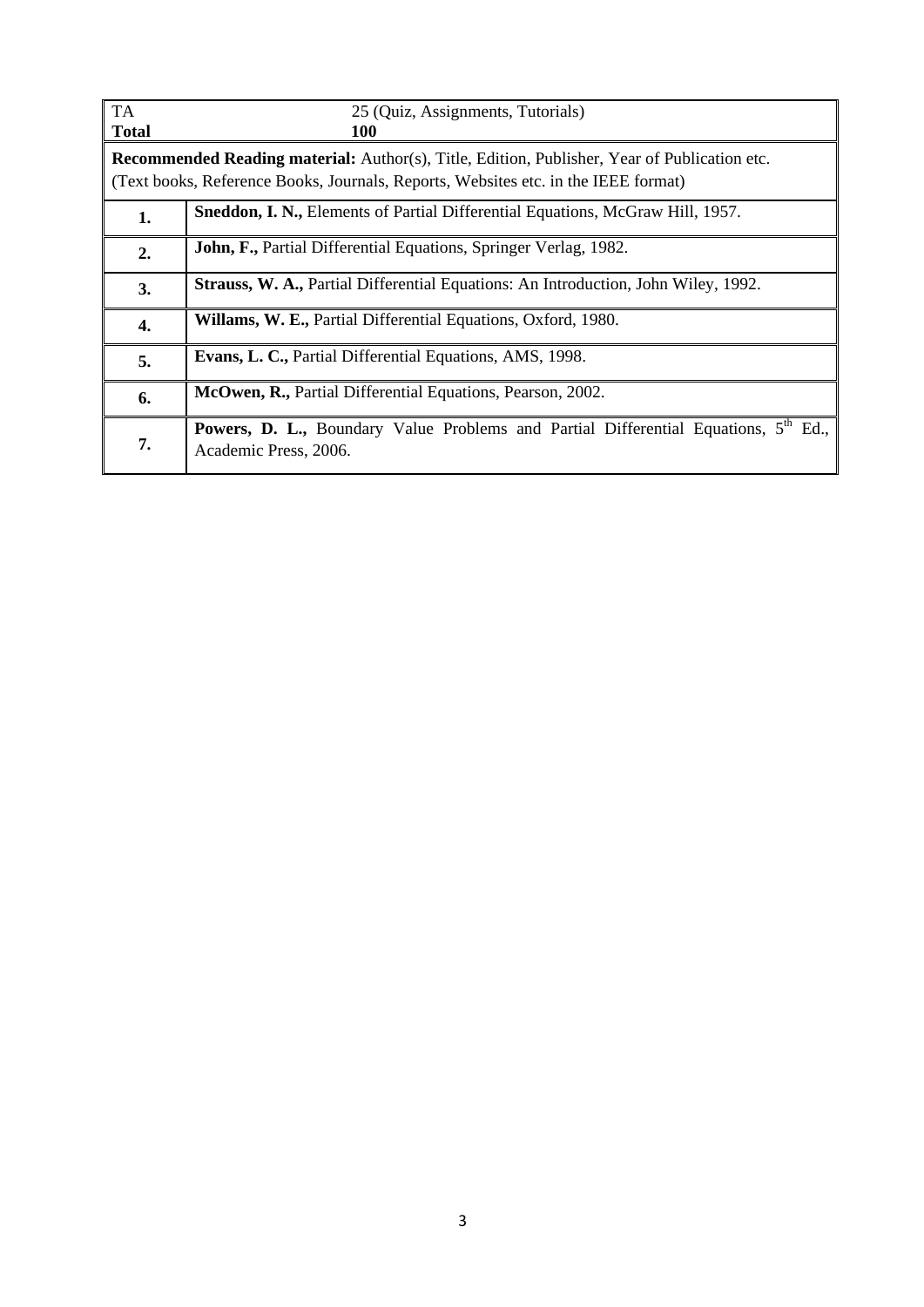| TA<br><b>Total</b>                                                                                                                                                                        | 25 (Quiz, Assignments, Tutorials)<br><b>100</b>                                                                          |  |  |  |  |
|-------------------------------------------------------------------------------------------------------------------------------------------------------------------------------------------|--------------------------------------------------------------------------------------------------------------------------|--|--|--|--|
| <b>Recommended Reading material:</b> Author(s), Title, Edition, Publisher, Year of Publication etc.<br>(Text books, Reference Books, Journals, Reports, Websites etc. in the IEEE format) |                                                                                                                          |  |  |  |  |
| 1.                                                                                                                                                                                        | <b>Sneddon, I. N., Elements of Partial Differential Equations, McGraw Hill, 1957.</b>                                    |  |  |  |  |
| 2.                                                                                                                                                                                        | John, F., Partial Differential Equations, Springer Verlag, 1982.                                                         |  |  |  |  |
| 3.                                                                                                                                                                                        | <b>Strauss, W. A., Partial Differential Equations: An Introduction, John Wiley, 1992.</b>                                |  |  |  |  |
| 4.                                                                                                                                                                                        | Willams, W. E., Partial Differential Equations, Oxford, 1980.                                                            |  |  |  |  |
| 5.                                                                                                                                                                                        | <b>Evans, L. C., Partial Differential Equations, AMS, 1998.</b>                                                          |  |  |  |  |
| 6.                                                                                                                                                                                        | McOwen, R., Partial Differential Equations, Pearson, 2002.                                                               |  |  |  |  |
| 7.                                                                                                                                                                                        | Powers, D. L., Boundary Value Problems and Partial Differential Equations, 5 <sup>th</sup> Ed.,<br>Academic Press, 2006. |  |  |  |  |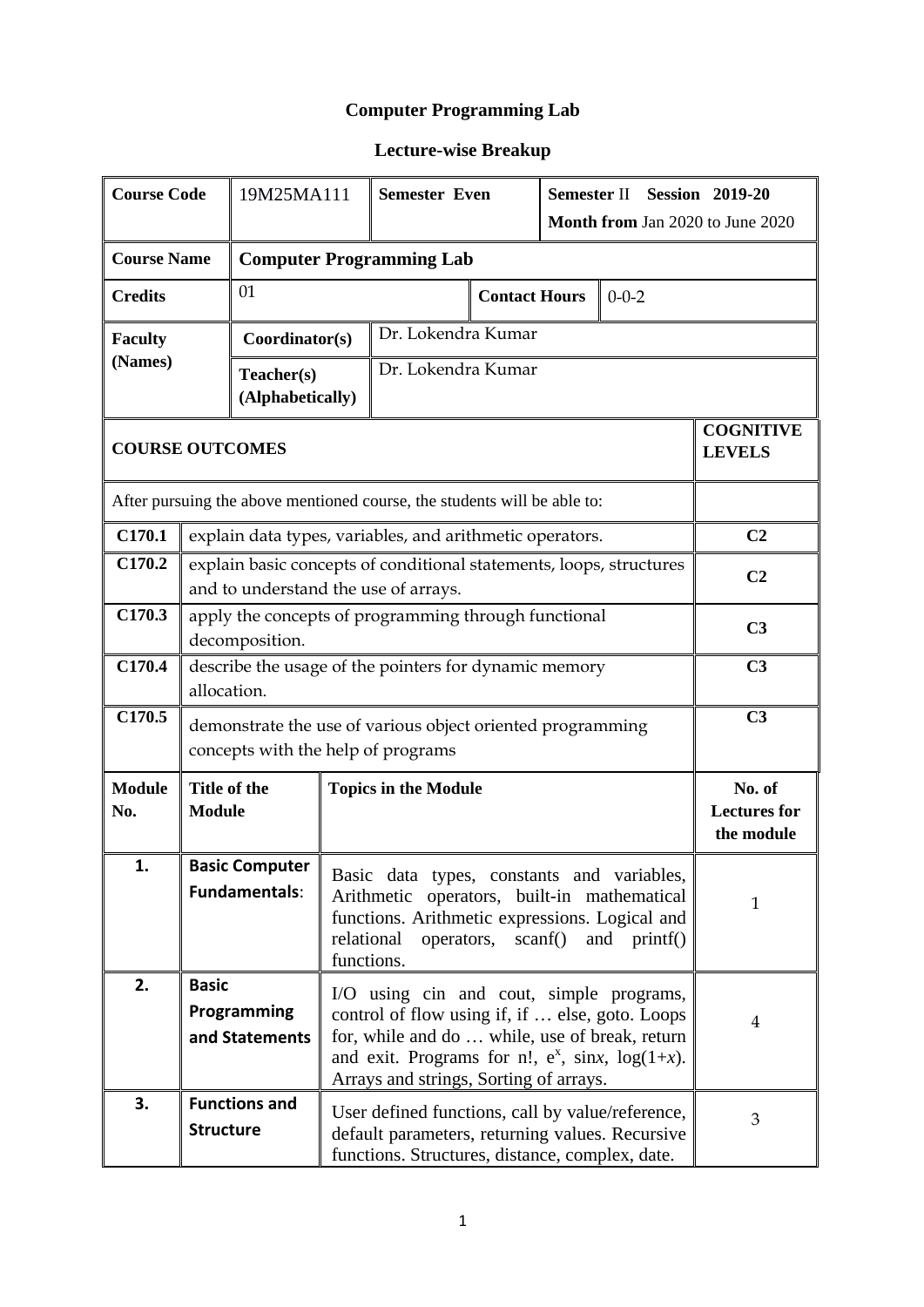## **Computer Programming Lab**

| <b>Course Code</b>                                                       |                                          | 19M25MA111                                                                                                                                                                                                                                                         |                             | <b>Semester Even</b>                                                                                                                                   |                                                                                                                                                                                                                                                  | Semester II Session 2019-20                 |                                   |                |
|--------------------------------------------------------------------------|------------------------------------------|--------------------------------------------------------------------------------------------------------------------------------------------------------------------------------------------------------------------------------------------------------------------|-----------------------------|--------------------------------------------------------------------------------------------------------------------------------------------------------|--------------------------------------------------------------------------------------------------------------------------------------------------------------------------------------------------------------------------------------------------|---------------------------------------------|-----------------------------------|----------------|
|                                                                          |                                          |                                                                                                                                                                                                                                                                    |                             |                                                                                                                                                        |                                                                                                                                                                                                                                                  | Month from Jan 2020 to June 2020            |                                   |                |
| <b>Course Name</b>                                                       |                                          | <b>Computer Programming Lab</b>                                                                                                                                                                                                                                    |                             |                                                                                                                                                        |                                                                                                                                                                                                                                                  |                                             |                                   |                |
| <b>Credits</b>                                                           |                                          | 01                                                                                                                                                                                                                                                                 |                             | <b>Contact Hours</b><br>$0 - 0 - 2$                                                                                                                    |                                                                                                                                                                                                                                                  |                                             |                                   |                |
| <b>Faculty</b><br>(Names)                                                |                                          | Coordinator(s)                                                                                                                                                                                                                                                     |                             | Dr. Lokendra Kumar                                                                                                                                     |                                                                                                                                                                                                                                                  |                                             |                                   |                |
|                                                                          |                                          | Dr. Lokendra Kumar<br>Teacher(s)<br>(Alphabetically)                                                                                                                                                                                                               |                             |                                                                                                                                                        |                                                                                                                                                                                                                                                  |                                             |                                   |                |
| <b>COURSE OUTCOMES</b>                                                   |                                          |                                                                                                                                                                                                                                                                    |                             |                                                                                                                                                        |                                                                                                                                                                                                                                                  |                                             | <b>COGNITIVE</b><br><b>LEVELS</b> |                |
| After pursuing the above mentioned course, the students will be able to: |                                          |                                                                                                                                                                                                                                                                    |                             |                                                                                                                                                        |                                                                                                                                                                                                                                                  |                                             |                                   |                |
| C170.1                                                                   |                                          | explain data types, variables, and arithmetic operators.                                                                                                                                                                                                           |                             |                                                                                                                                                        |                                                                                                                                                                                                                                                  |                                             |                                   | C <sub>2</sub> |
| C170.2                                                                   |                                          | explain basic concepts of conditional statements, loops, structures<br>and to understand the use of arrays.                                                                                                                                                        |                             |                                                                                                                                                        |                                                                                                                                                                                                                                                  |                                             |                                   | C <sub>2</sub> |
| C170.3                                                                   |                                          | apply the concepts of programming through functional<br>decomposition.                                                                                                                                                                                             |                             |                                                                                                                                                        |                                                                                                                                                                                                                                                  |                                             |                                   | C <sub>3</sub> |
| C170.4                                                                   |                                          | describe the usage of the pointers for dynamic memory<br>allocation.                                                                                                                                                                                               |                             |                                                                                                                                                        |                                                                                                                                                                                                                                                  |                                             |                                   | C <sub>3</sub> |
| C170.5                                                                   |                                          | demonstrate the use of various object oriented programming<br>concepts with the help of programs                                                                                                                                                                   |                             |                                                                                                                                                        |                                                                                                                                                                                                                                                  |                                             |                                   | C <sub>3</sub> |
| <b>Module</b><br>No.                                                     | Title of the<br><b>Module</b>            |                                                                                                                                                                                                                                                                    | <b>Topics in the Module</b> |                                                                                                                                                        |                                                                                                                                                                                                                                                  | No. of<br><b>Lectures for</b><br>the module |                                   |                |
| 1.                                                                       |                                          | <b>Basic Computer</b><br>Basic data types, constants and variables,<br><b>Fundamentals:</b><br>Arithmetic operators, built-in mathematical<br>functions. Arithmetic expressions. Logical and<br>relational<br>scanf()<br>operators,<br>and $print()$<br>functions. |                             |                                                                                                                                                        |                                                                                                                                                                                                                                                  | $\mathbf{1}$                                |                                   |                |
| 2.                                                                       | <b>Basic</b>                             | Programming<br>and Statements                                                                                                                                                                                                                                      |                             |                                                                                                                                                        | I/O using cin and cout, simple programs,<br>control of flow using if, if  else, goto. Loops<br>for, while and do  while, use of break, return<br>and exit. Programs for n!, $e^x$ , sinx, $log(1+x)$ .<br>Arrays and strings, Sorting of arrays. |                                             |                                   | $\overline{4}$ |
| 3.                                                                       | <b>Functions and</b><br><b>Structure</b> |                                                                                                                                                                                                                                                                    |                             | User defined functions, call by value/reference,<br>default parameters, returning values. Recursive<br>functions. Structures, distance, complex, date. |                                                                                                                                                                                                                                                  |                                             |                                   | 3              |